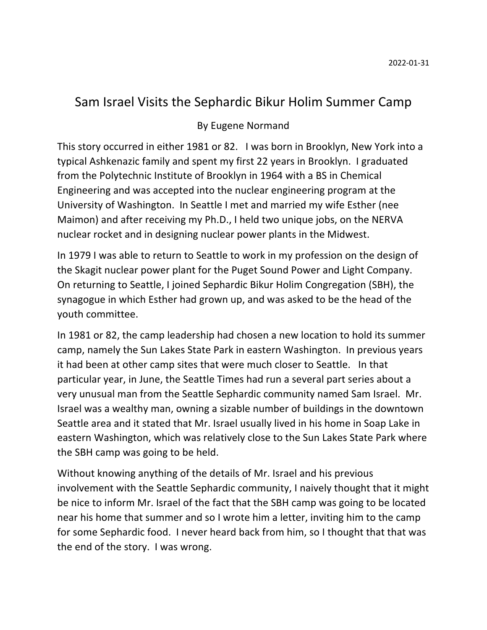## Sam Israel Visits the Sephardic Bikur Holim Summer Camp

## By Eugene Normand

This story occurred in either 1981 or 82. I was born in Brooklyn, New York into a typical Ashkenazic family and spent my first 22 years in Brooklyn. I graduated from the Polytechnic Institute of Brooklyn in 1964 with a BS in Chemical Engineering and was accepted into the nuclear engineering program at the University of Washington. In Seattle I met and married my wife Esther (nee Maimon) and after receiving my Ph.D., I held two unique jobs, on the NERVA nuclear rocket and in designing nuclear power plants in the Midwest.

In 1979 I was able to return to Seattle to work in my profession on the design of the Skagit nuclear power plant for the Puget Sound Power and Light Company. On returning to Seattle, I joined Sephardic Bikur Holim Congregation (SBH), the synagogue in which Esther had grown up, and was asked to be the head of the youth committee.

In 1981 or 82, the camp leadership had chosen a new location to hold its summer camp, namely the Sun Lakes State Park in eastern Washington. In previous years it had been at other camp sites that were much closer to Seattle. In that particular year, in June, the Seattle Times had run a several part series about a very unusual man from the Seattle Sephardic community named Sam Israel. Mr. Israel was a wealthy man, owning a sizable number of buildings in the downtown Seattle area and it stated that Mr. Israel usually lived in his home in Soap Lake in eastern Washington, which was relatively close to the Sun Lakes State Park where the SBH camp was going to be held.

Without knowing anything of the details of Mr. Israel and his previous involvement with the Seattle Sephardic community, I naively thought that it might be nice to inform Mr. Israel of the fact that the SBH camp was going to be located near his home that summer and so I wrote him a letter, inviting him to the camp for some Sephardic food. I never heard back from him, so I thought that that was the end of the story. I was wrong.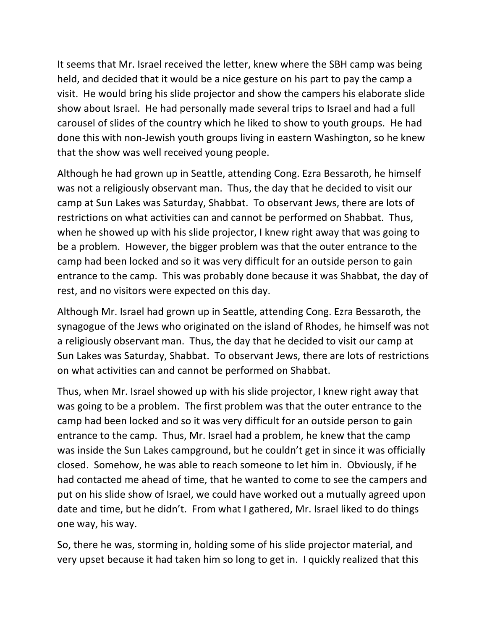It seems that Mr. Israel received the letter, knew where the SBH camp was being held, and decided that it would be a nice gesture on his part to pay the camp a visit. He would bring his slide projector and show the campers his elaborate slide show about Israel. He had personally made several trips to Israel and had a full carousel of slides of the country which he liked to show to youth groups. He had done this with non-Jewish youth groups living in eastern Washington, so he knew that the show was well received young people.

Although he had grown up in Seattle, attending Cong. Ezra Bessaroth, he himself was not a religiously observant man. Thus, the day that he decided to visit our camp at Sun Lakes was Saturday, Shabbat. To observant Jews, there are lots of restrictions on what activities can and cannot be performed on Shabbat. Thus, when he showed up with his slide projector, I knew right away that was going to be a problem. However, the bigger problem was that the outer entrance to the camp had been locked and so it was very difficult for an outside person to gain entrance to the camp. This was probably done because it was Shabbat, the day of rest, and no visitors were expected on this day.

Although Mr. Israel had grown up in Seattle, attending Cong. Ezra Bessaroth, the synagogue of the Jews who originated on the island of Rhodes, he himself was not a religiously observant man. Thus, the day that he decided to visit our camp at Sun Lakes was Saturday, Shabbat. To observant Jews, there are lots of restrictions on what activities can and cannot be performed on Shabbat.

Thus, when Mr. Israel showed up with his slide projector, I knew right away that was going to be a problem. The first problem was that the outer entrance to the camp had been locked and so it was very difficult for an outside person to gain entrance to the camp. Thus, Mr. Israel had a problem, he knew that the camp was inside the Sun Lakes campground, but he couldn't get in since it was officially closed. Somehow, he was able to reach someone to let him in. Obviously, if he had contacted me ahead of time, that he wanted to come to see the campers and put on his slide show of Israel, we could have worked out a mutually agreed upon date and time, but he didn't. From what I gathered, Mr. Israel liked to do things one way, his way.

So, there he was, storming in, holding some of his slide projector material, and very upset because it had taken him so long to get in. I quickly realized that this